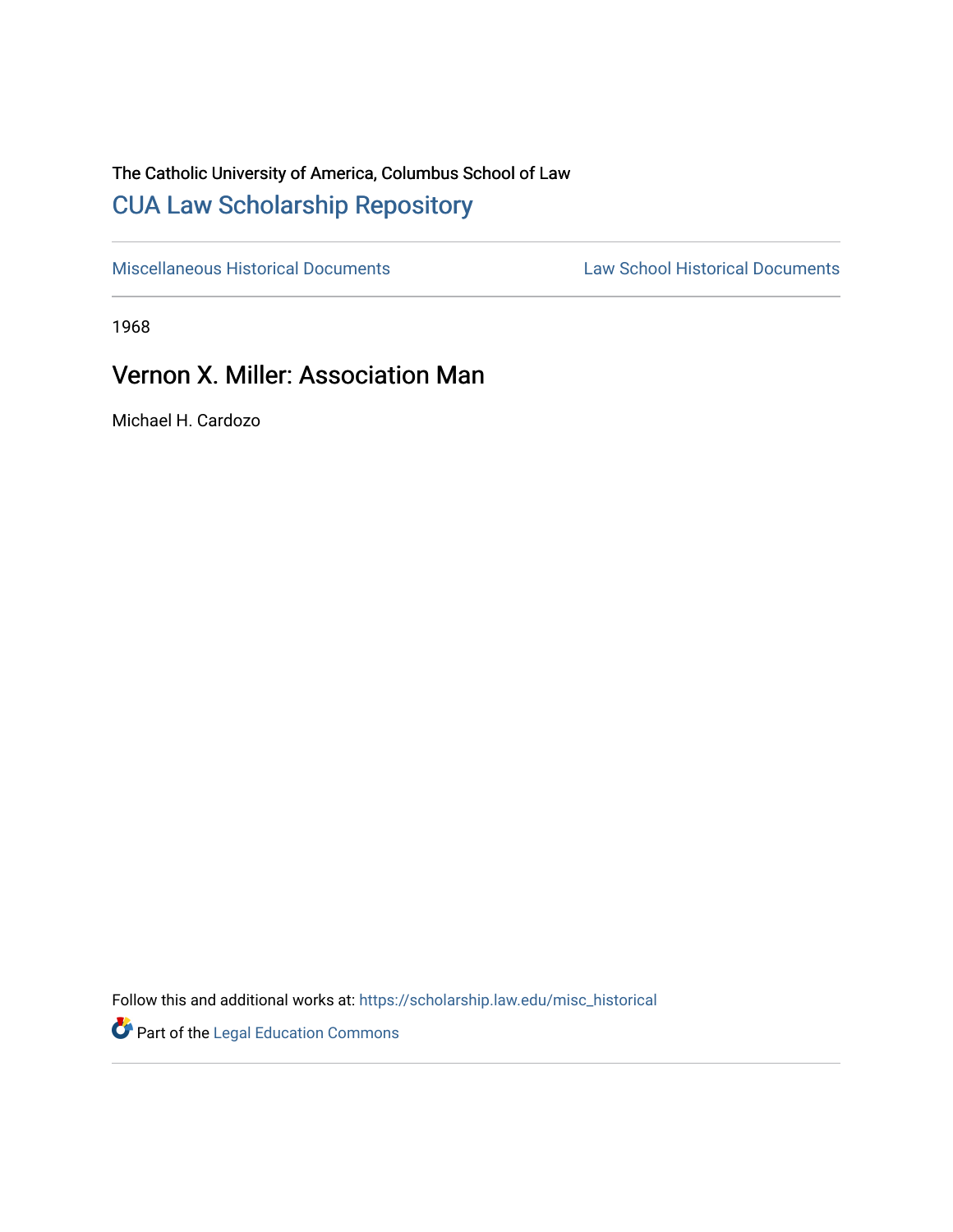## The Catholic University of America, Columbus School of Law [CUA Law Scholarship Repository](https://scholarship.law.edu/)

[Miscellaneous Historical Documents](https://scholarship.law.edu/misc_historical) [Law School Historical Documents](https://scholarship.law.edu/archives) 

1968

## Vernon X. Miller: Association Man

Michael H. Cardozo

Follow this and additional works at: [https://scholarship.law.edu/misc\\_historical](https://scholarship.law.edu/misc_historical?utm_source=scholarship.law.edu%2Fmisc_historical%2F10&utm_medium=PDF&utm_campaign=PDFCoverPages)

Part of the [Legal Education Commons](http://network.bepress.com/hgg/discipline/857?utm_source=scholarship.law.edu%2Fmisc_historical%2F10&utm_medium=PDF&utm_campaign=PDFCoverPages)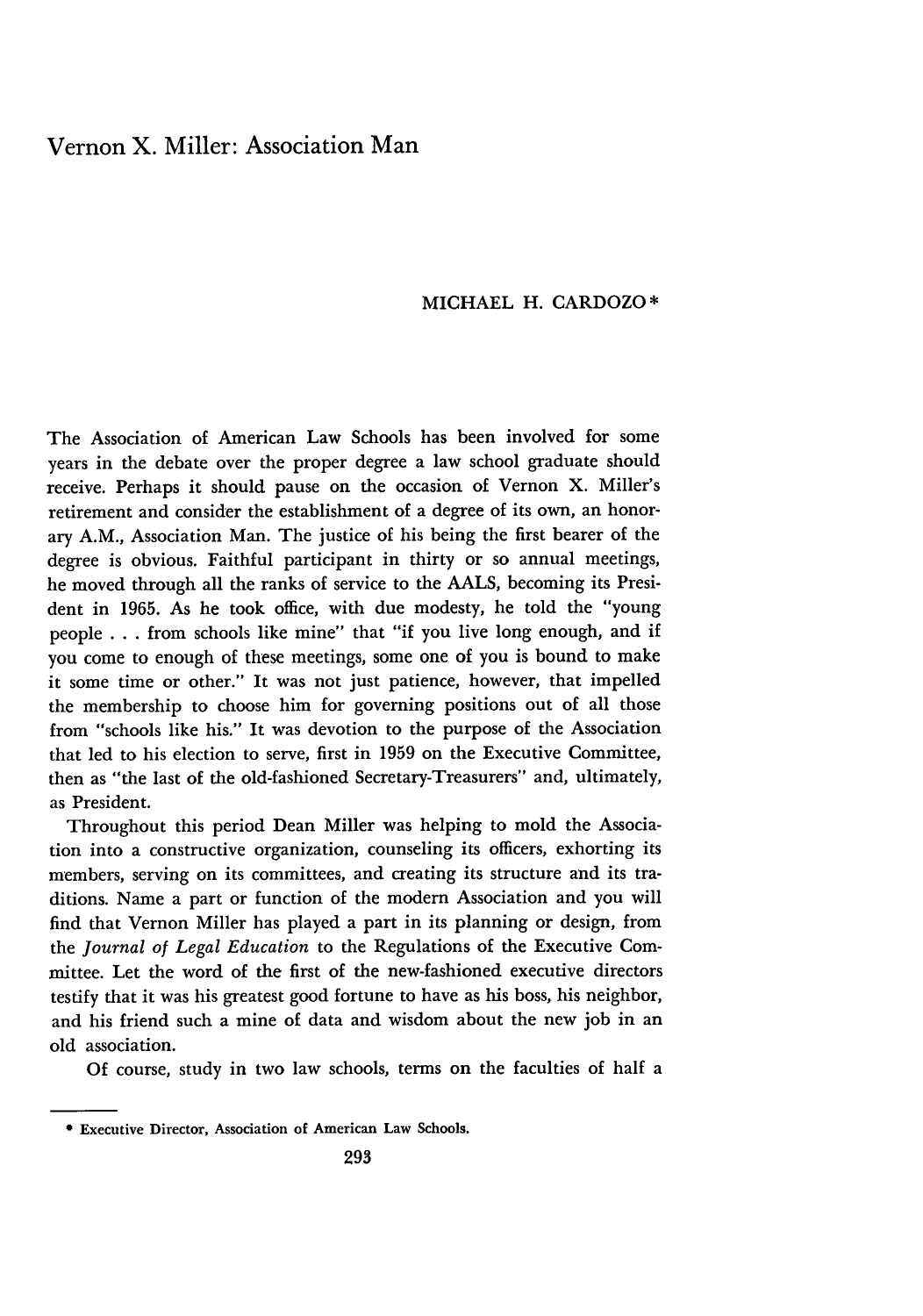## Vernon X. Miller: Association Man

## MICHAEL H. CARDOZO\*

The Association of American Law Schools has been involved for some years in the debate over the proper degree a law school graduate should receive. Perhaps it should pause on the occasion of Vernon X. Miller's retirement and consider the establishment of a degree of its own, an honorary A.M., Association Man. The justice of his being the first bearer of the degree is obvious. Faithful participant in thirty or so annual meetings, he moved through all the ranks of service to the AALS, becoming its President in 1965. As he took office, with due modesty, he told the "young people . . . from schools like mine" that "if you live long enough, and if you come to enough of these meetings, some one of you is bound to make it some time or other." It was not just patience, however, that impelled the membership to choose him for governing positions out of all those from "schools like his." It was devotion to the purpose of the Association that led to his election to serve, first in 1959 on the Executive Committee, then as "the last of the old-fashioned Secretary-Treasurers" and, ultimately, as President.

Throughout this period Dean Miller was helping to mold the Association into a constructive organization, counseling its officers, exhorting its members, serving on its committees, and creating its structure and its traditions. Name a part or function of the modem Association and you will find that Vernon Miller has played a part in its planning or design, from the *Journal of Legal Education* to the Regulations of the Executive Committee. Let the word of the first of the new-fashioned executive directors testify that it was his greatest good fortune to have as his boss, his neighbor, and his friend such a mine of data and wisdom about the new job in an old association.

Of course, study in two law schools, terms on the faculties of half a

Executive Director, Association of American Law Schools.